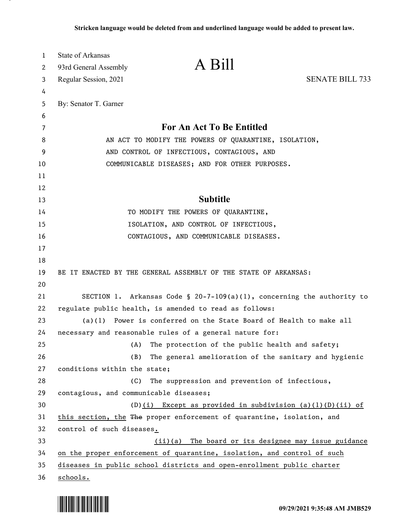| 1        | State of Arkansas                                     | A Bill                                                                                                                          |                        |
|----------|-------------------------------------------------------|---------------------------------------------------------------------------------------------------------------------------------|------------------------|
| 2        | 93rd General Assembly                                 |                                                                                                                                 |                        |
| 3        | Regular Session, 2021                                 |                                                                                                                                 | <b>SENATE BILL 733</b> |
| 4        |                                                       |                                                                                                                                 |                        |
| 5        | By: Senator T. Garner                                 |                                                                                                                                 |                        |
| 6<br>7   |                                                       | For An Act To Be Entitled                                                                                                       |                        |
| 8        | AN ACT TO MODIFY THE POWERS OF QUARANTINE, ISOLATION, |                                                                                                                                 |                        |
| 9        | AND CONTROL OF INFECTIOUS, CONTAGIOUS, AND            |                                                                                                                                 |                        |
| 10       | COMMUNICABLE DISEASES; AND FOR OTHER PURPOSES.        |                                                                                                                                 |                        |
| 11       |                                                       |                                                                                                                                 |                        |
| 12       |                                                       |                                                                                                                                 |                        |
| 13       |                                                       | <b>Subtitle</b>                                                                                                                 |                        |
| 14       |                                                       | TO MODIFY THE POWERS OF QUARANTINE,                                                                                             |                        |
| 15       |                                                       | ISOLATION, AND CONTROL OF INFECTIOUS,                                                                                           |                        |
| 16       |                                                       | CONTAGIOUS, AND COMMUNICABLE DISEASES.                                                                                          |                        |
| 17       |                                                       |                                                                                                                                 |                        |
| 18       |                                                       |                                                                                                                                 |                        |
| 19       |                                                       | BE IT ENACTED BY THE GENERAL ASSEMBLY OF THE STATE OF ARKANSAS:                                                                 |                        |
| 20       |                                                       |                                                                                                                                 |                        |
| 21       |                                                       | SECTION 1. Arkansas Code § 20-7-109(a)(1), concerning the authority to                                                          |                        |
| 22       |                                                       | regulate public health, is amended to read as follows:                                                                          |                        |
| 23       | (a)(1)                                                | Power is conferred on the State Board of Health to make all                                                                     |                        |
| 24       |                                                       | necessary and reasonable rules of a general nature for:                                                                         |                        |
| 25       | (A)                                                   | The protection of the public health and safety;                                                                                 |                        |
| 26       | (B)                                                   | The general amelioration of the sanitary and hygienic                                                                           |                        |
| 27       | conditions within the state;                          |                                                                                                                                 |                        |
| 28       | (C)                                                   | The suppression and prevention of infectious,                                                                                   |                        |
| 29       | contagious, and communicable diseases;                |                                                                                                                                 |                        |
| 30       |                                                       | $(D)(i)$ Except as provided in subdivision $(a)(1)(D)(ii)$ of                                                                   |                        |
| 31       |                                                       | this section, the The proper enforcement of quarantine, isolation, and                                                          |                        |
| 32<br>33 | control of such diseases.                             |                                                                                                                                 |                        |
| 34       |                                                       | (ii)(a) The board or its designee may issue guidance<br>on the proper enforcement of quarantine, isolation, and control of such |                        |
| 35       |                                                       | diseases in public school districts and open-enrollment public charter                                                          |                        |
| 36       | schools.                                              |                                                                                                                                 |                        |